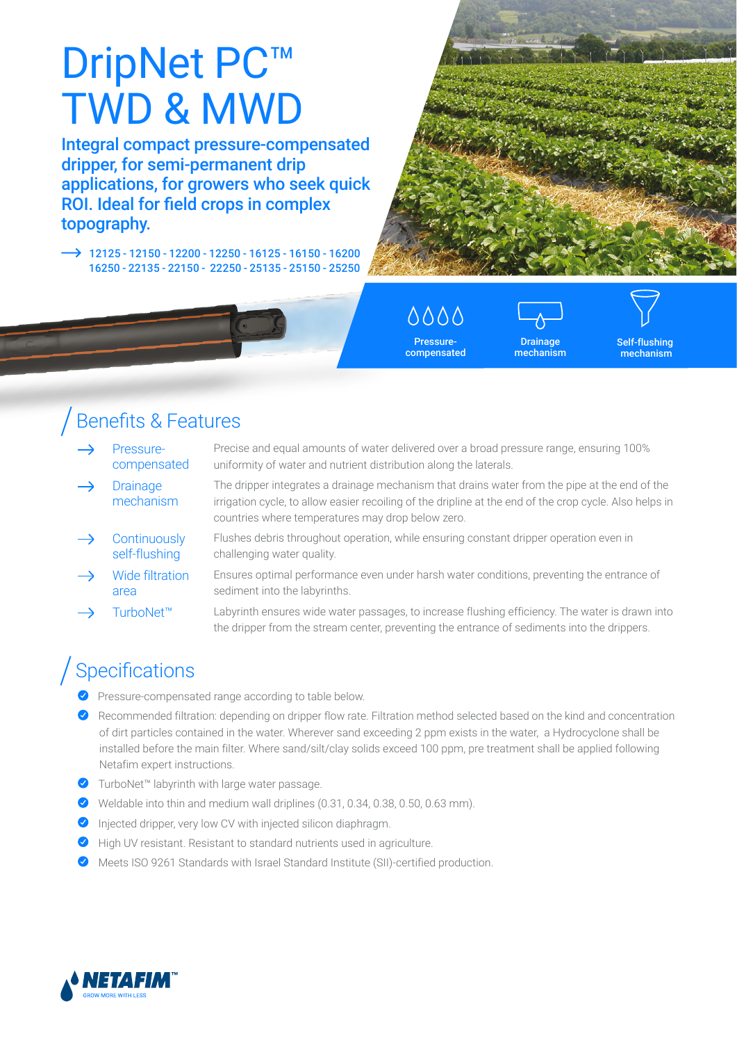# DripNet PC<sup>™</sup> TWD & MWD

Integral compact pressure-compensated dripper, for semi-permanent drip applications, for growers who seek quick ROI. Ideal for field crops in complex topography.

 $\rightarrow$  12125 - 12150 - 12200 - 12250 - 16125 - 16150 - 16200 16250 - 22135 - 22150 - 22250 - 25135 - 25150 - 25250



0000 Pressurecompensated

**Drainage** mechanism

Self-flushing mechanism

### Benefits & Features

- Pressurecompensated
- **Drainage** mechanism

Precise and equal amounts of water delivered over a broad pressure range, ensuring 100% uniformity of water and nutrient distribution along the laterals.

- The dripper integrates a drainage mechanism that drains water from the pipe at the end of the irrigation cycle, to allow easier recoiling of the dripline at the end of the crop cycle. Also helps in countries where temperatures may drop below zero.
- **Continuously** self-flushing Flushes debris throughout operation, while ensuring constant dripper operation even in challenging water quality.
- Wide filtration area Ensures optimal performance even under harsh water conditions, preventing the entrance of sediment into the labyrinths.
- TurboNet™ Labyrinth ensures wide water passages, to increase flushing efficiency. The water is drawn into the dripper from the stream center, preventing the entrance of sediments into the drippers.

## Specifications

- Pressure-compensated range according to table below.
- Recommended filtration: depending on dripper flow rate. Filtration method selected based on the kind and concentration of dirt particles contained in the water. Wherever sand exceeding 2 ppm exists in the water, a Hydrocyclone shall be installed before the main filter. Where sand/silt/clay solids exceed 100 ppm, pre treatment shall be applied following Netafim expert instructions.
- ◆ TurboNet™ labyrinth with large water passage.
- Weldable into thin and medium wall driplines (0.31, 0.34, 0.38, 0.50, 0.63 mm).
- Injected dripper, very low CV with injected silicon diaphragm.
- High UV resistant. Resistant to standard nutrients used in agriculture.
- Meets ISO 9261 Standards with Israel Standard Institute (SII)-certified production.

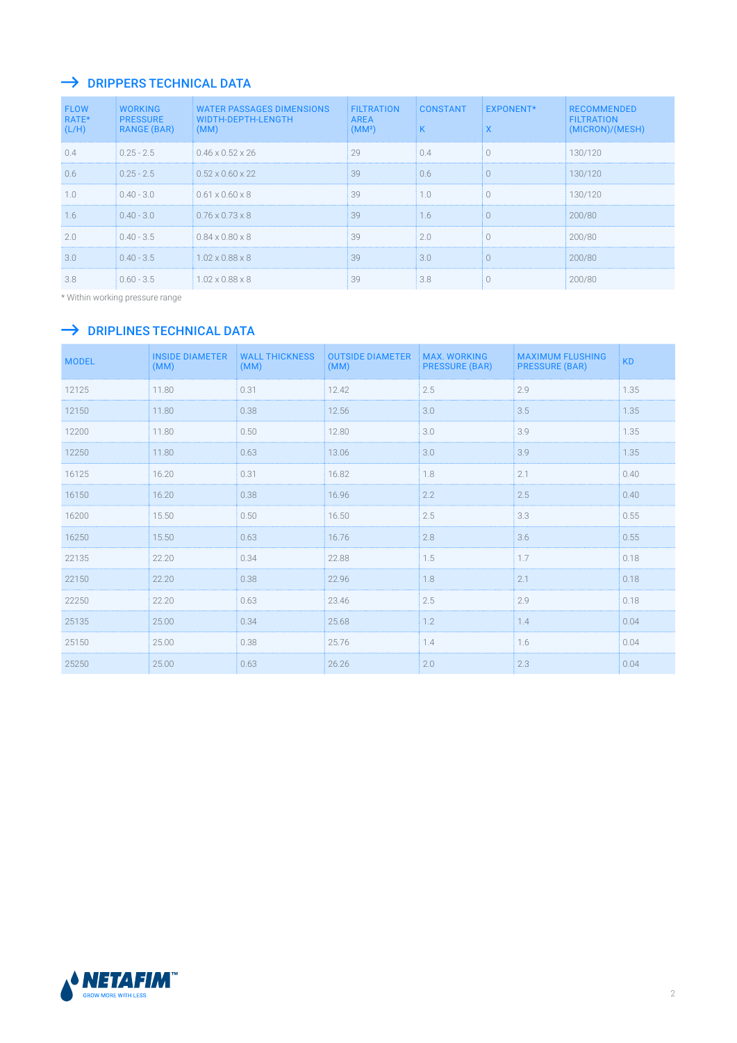#### $\rightarrow$  DRIPPERS TECHNICAL DATA

| <b>FLOW</b><br>RATE*<br>(L/H) | <b>WORKING</b><br><b>PRESSURE</b><br><b>RANGE (BAR)</b> | <b>WATER PASSAGES DIMENSIONS</b><br>WIDTH-DEPTH-LENGTH<br>(MM) | <b>FILTRATION</b><br><b>AREA</b><br>(MM <sup>2</sup> ) | <b>CONSTANT</b><br>K | <b>EXPONENT*</b><br>X | <b>RECOMMENDED</b><br><b>FILTRATION</b><br>(MICRON)/(MESH) |
|-------------------------------|---------------------------------------------------------|----------------------------------------------------------------|--------------------------------------------------------|----------------------|-----------------------|------------------------------------------------------------|
| 0.4                           | $0.25 - 2.5$                                            | $0.46 \times 0.52 \times 26$                                   | 29                                                     | 0.4                  | $\bigcap$             | 130/120                                                    |
| 0.6                           | $0.25 - 2.5$                                            | $0.52 \times 0.60 \times 22$                                   | 39                                                     | 0.6                  | $\bigcap$             | 130/120                                                    |
| 1.0                           | $0.40 - 3.0$                                            | $0.61 \times 0.60 \times 8$                                    | 39                                                     | 1.0                  | $\bigcap$             | 130/120                                                    |
| 1.6                           | $0.40 - 3.0$                                            | $0.76 \times 0.73 \times 8$                                    | 39                                                     | 1.6                  | $\bigcap$             | 200/80                                                     |
| 2.0                           | $0.40 - 3.5$                                            | $0.84 \times 0.80 \times 8$                                    | 39                                                     | 2.0                  | $\bigcap$             | 200/80                                                     |
| 3.0                           | $0.40 - 3.5$                                            | $1.02 \times 0.88 \times 8$                                    | 39                                                     | 3.0                  | $\bigcap$             | 200/80                                                     |
| 3.8                           | $0.60 - 3.5$                                            | $1.02 \times 0.88 \times 8$                                    | 39                                                     | 3.8                  |                       | 200/80                                                     |

\* Within working pressure range

#### $\rightarrow$  DRIPLINES TECHNICAL DATA

| <b>MODEL</b> | <b>INSIDE DIAMETER</b><br>(MM) | <b>WALL THICKNESS</b><br>(MM) | <b>OUTSIDE DIAMETER</b><br>(MM) | <b>MAX. WORKING</b><br><b>PRESSURE (BAR)</b> | <b>MAXIMUM FLUSHING</b><br><b>PRESSURE (BAR)</b> | <b>KD</b> |
|--------------|--------------------------------|-------------------------------|---------------------------------|----------------------------------------------|--------------------------------------------------|-----------|
| 12125        | 11.80                          | 0.31                          | 12.42                           | 2.5                                          | 2.9                                              | 1.35      |
| 12150        | 11.80                          | 0.38                          | 12.56                           | 3.0                                          | 3.5                                              | 1.35      |
| 12200        | 11.80                          | 0.50                          | 12.80                           | 3.0                                          | 3.9                                              | 1.35      |
| 12250        | 11.80                          | 0.63                          | 13.06                           | 3.0                                          | 3.9                                              | 1.35      |
| 16125        | 16.20                          | 0.31                          | 16.82                           | 1.8                                          | 2.1                                              | 0.40      |
| 16150        | 16.20                          | 0.38                          | 16.96                           | 2.2                                          | 2.5                                              | 0.40      |
| 16200        | 15.50                          | 0.50                          | 16.50                           | 2.5                                          | 3.3                                              | 0.55      |
| 16250        | 15.50                          | 0.63                          | 16.76                           | 2.8                                          | 3.6                                              | 0.55      |
| 22135        | 22.20                          | 0.34                          | 22.88                           | 1.5                                          | 1.7                                              | 0.18      |
| 22150        | 22.20                          | 0.38                          | 22.96                           | 1.8                                          | 2.1                                              | 0.18      |
| 22250        | 22.20                          | 0.63                          | 23.46                           | 2.5                                          | 2.9                                              | 0.18      |
| 25135        | 25.00                          | 0.34                          | 25.68                           | 1.2                                          | 1.4                                              | 0.04      |
| 25150        | 25.00                          | 0.38                          | 25.76                           | 1.4                                          | 1.6                                              | 0.04      |
| 25250        | 25.00                          | 0.63                          | 26.26                           | 2.0                                          | 2.3                                              | 0.04      |